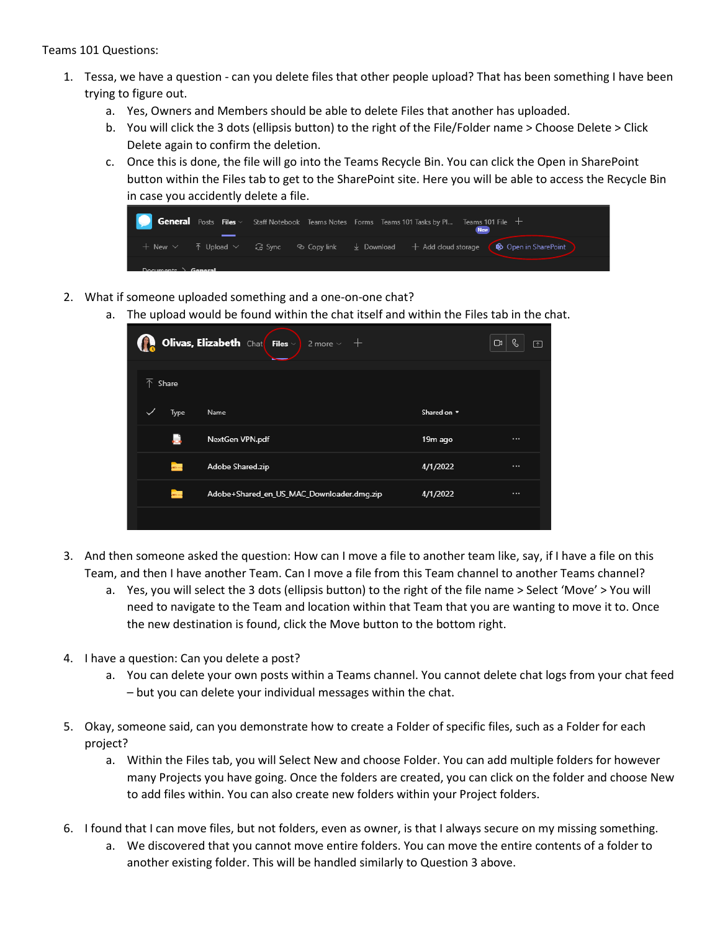Teams 101 Questions:

- 1. Tessa, we have a question can you delete files that other people upload? That has been something I have been trying to figure out.
	- a. Yes, Owners and Members should be able to delete Files that another has uploaded.
	- b. You will click the 3 dots (ellipsis button) to the right of the File/Folder name > Choose Delete > Click Delete again to confirm the deletion.
	- c. Once this is done, the file will go into the Teams Recycle Bin. You can click the Open in SharePoint button within the Files tab to get to the SharePoint site. Here you will be able to access the Recycle Bin in case you accidently delete a file.



- 2. What if someone uploaded something and a one-on-one chat?
	- a. The upload would be found within the chat itself and within the Files tab in the chat.

|                      | <b>Olivas, Elizabeth</b> Chat Files $\vee$ 2 more $\vee$ + |                  | ß.<br>□<br>$\Box$ |
|----------------------|------------------------------------------------------------|------------------|-------------------|
| 不<br>Share           |                                                            |                  |                   |
| Type<br>$\checkmark$ | Name                                                       | Shared on $\sim$ |                   |
|                      | NextGen VPN.pdf                                            | 19m ago          | $\cdots$          |
| $\frac{1}{2}$        | Adobe Shared.zip                                           | 4/1/2022         | $\cdots$          |
| $\frac{1}{2}$        | Adobe+Shared_en_US_MAC_Downloader.dmg.zip                  | 4/1/2022         | $\cdots$          |
|                      |                                                            |                  |                   |

- 3. And then someone asked the question: How can I move a file to another team like, say, if I have a file on this Team, and then I have another Team. Can I move a file from this Team channel to another Teams channel?
	- a. Yes, you will select the 3 dots (ellipsis button) to the right of the file name > Select 'Move' > You will need to navigate to the Team and location within that Team that you are wanting to move it to. Once the new destination is found, click the Move button to the bottom right.
- 4. I have a question: Can you delete a post?
	- a. You can delete your own posts within a Teams channel. You cannot delete chat logs from your chat feed – but you can delete your individual messages within the chat.
- 5. Okay, someone said, can you demonstrate how to create a Folder of specific files, such as a Folder for each project?
	- a. Within the Files tab, you will Select New and choose Folder. You can add multiple folders for however many Projects you have going. Once the folders are created, you can click on the folder and choose New to add files within. You can also create new folders within your Project folders.
- 6. I found that I can move files, but not folders, even as owner, is that I always secure on my missing something.
	- a. We discovered that you cannot move entire folders. You can move the entire contents of a folder to another existing folder. This will be handled similarly to Question 3 above.